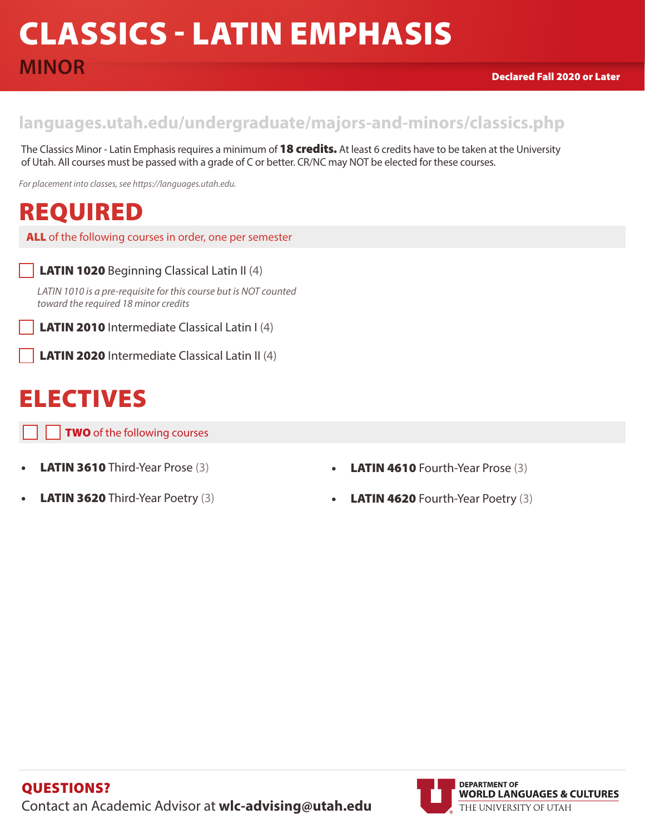# CLASSICS - LATIN EMPHASIS **MINOR**

#### **languages.utah.edu/undergraduate/majors-and-minors/classics.php**

The Classics Minor - Latin Emphasis requires a minimum of 18 credits. At least 6 credits have to be taken at the University of Utah. All courses must be passed with a grade of C or better. CR/NC may NOT be elected for these courses.

*For placement into classes, see https://languages.utah.edu.* 

# REQUIRED

ALL of the following courses in order, one per semester

#### LATIN 1020 Beginning Classical Latin II (4)

*LATIN 1010 is a pre-requisite for this course but is NOT counted toward the required 18 minor credits*

LATIN 2010 Intermediate Classical Latin I (4)

LATIN 2020 Intermediate Classical Latin II (4)

# ELECTIVES

**TWO** of the following courses

- **LATIN 3610** Third-Year Prose (3)
- **LATIN 3620** Third-Year Poetry (3)
- **LATIN 4610** Fourth-Year Prose (3)
- **LATIN 4620** Fourth-Year Poetry (3)